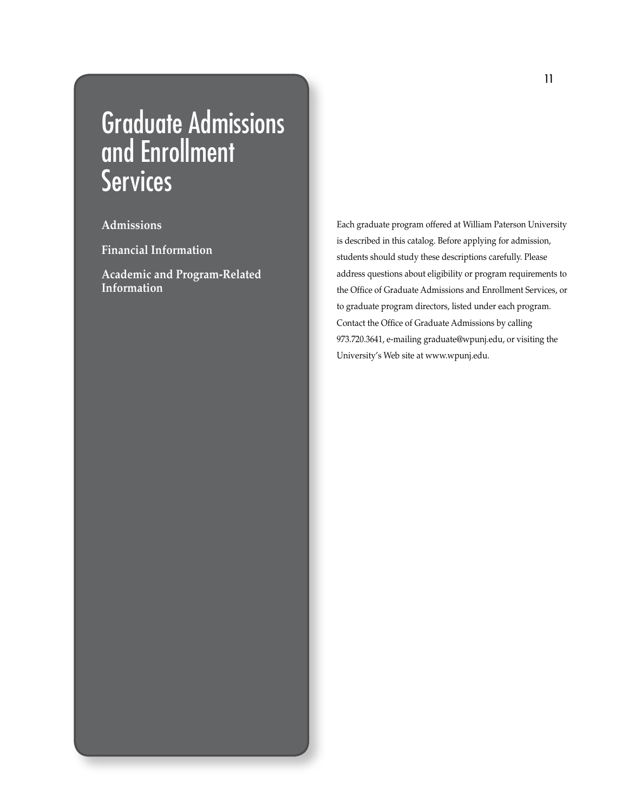## Graduate Admissions and Enrollment **Services**

**Admissions**

**Financial Information**

**Academic and Program-Related Information**

Each graduate program offered at William Paterson University is described in this catalog. Before applying for admission, students should study these descriptions carefully. Please address questions about eligibility or program requirements to the Office of Graduate Admissions and Enrollment Services, or to graduate program directors, listed under each program. Contact the Office of Graduate Admissions by calling 973.720.3641, e-mailing graduate@wpunj.edu, or visiting the University's Web site at www.wpunj.edu.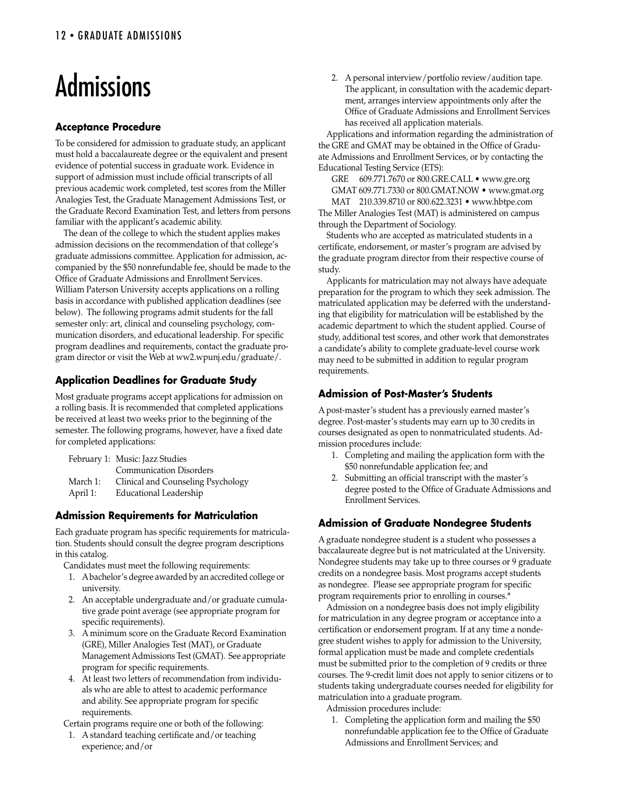# Admissions

### **Acceptance Procedure**

To be considered for admission to graduate study, an applicant must hold a baccalaureate degree or the equivalent and present evidence of potential success in graduate work. Evidence in support of admission must include official transcripts of all previous academic work completed, test scores from the Miller Analogies Test, the Graduate Management Admissions Test, or the Graduate Record Examination Test, and letters from persons familiar with the applicant's academic ability.

 The dean of the college to which the student applies makes admission decisions on the recommendation of that college's graduate admissions committee. Application for admission, accompanied by the \$50 nonrefundable fee, should be made to the Office of Graduate Admissions and Enrollment Services. William Paterson University accepts applications on a rolling basis in accordance with published application deadlines (see below). The following programs admit students for the fall semester only: art, clinical and counseling psychology, communication disorders, and educational leadership. For specific program deadlines and requirements, contact the graduate program director or visit the Web at ww2.wpunj.edu/graduate/.

## **Application Deadlines for Graduate Study**

Most graduate programs accept applications for admission on a rolling basis. It is recommended that completed applications be received at least two weeks prior to the beginning of the semester. The following programs, however, have a fixed date for completed applications:

|          | February 1: Music: Jazz Studies    |
|----------|------------------------------------|
|          | <b>Communication Disorders</b>     |
| March 1: | Clinical and Counseling Psychology |
| April 1: | Educational Leadership             |

## **Admission Requirements for Matriculation**

Each graduate program has specific requirements for matriculation. Students should consult the degree program descriptions in this catalog.

Candidates must meet the following requirements:

- 1. A bachelor's degree awarded by an accredited college or university.
- 2. An acceptable undergraduate and/or graduate cumula tive grade point average (see appropriate program for specific requirements).
- 3. A minimum score on the Graduate Record Examination (GRE), Miller Analogies Test (MAT), or Graduate Management Admissions Test (GMAT). See appropriate program for specific requirements.
- 4. At least two letters of recommendation from individu als who are able to attest to academic performance and ability. See appropriate program for specific requirements.

Certain programs require one or both of the following:

1. A standard teaching certificate and/or teaching experience; and/or

2. A personal interview/portfolio review/audition tape. The applicant, in consultation with the academic depart ment, arranges interview appointments only after the Office of Graduate Admissions and Enrollment Services has received all application materials.

 Applications and information regarding the administration of the GRE and GMAT may be obtained in the Office of Graduate Admissions and Enrollment Services, or by contacting the Educational Testing Service (ETS):

GRE 609.771.7670 or 800.GRE.CALL • www.gre.org GMAT 609.771.7330 or 800.GMAT.NOW • www.gmat.org MAT 210.339.8710 or 800.622.3231 • www.hbtpe.com The Miller Analogies Test (MAT) is administered on campus through the Department of Sociology.

 Students who are accepted as matriculated students in a certificate, endorsement, or master's program are advised by the graduate program director from their respective course of study.

 Applicants for matriculation may not always have adequate preparation for the program to which they seek admission. The matriculated application may be deferred with the understanding that eligibility for matriculation will be established by the academic department to which the student applied. Course of study, additional test scores, and other work that demonstrates a candidate's ability to complete graduate-level course work may need to be submitted in addition to regular program requirements.

### **Admission of Post-Master's Students**

A post-master's student has a previously earned master's degree. Post-master's students may earn up to 30 credits in courses designated as open to nonmatriculated students. Admission procedures include:

- 1. Completing and mailing the application form with the \$50 nonrefundable application fee; and
- 2. Submitting an official transcript with the master's degree posted to the Office of Graduate Admissions and Enrollment Services.

## **Admission of Graduate Nondegree Students**

A graduate nondegree student is a student who possesses a baccalaureate degree but is not matriculated at the University. Nondegree students may take up to three courses or 9 graduate credits on a nondegree basis. Most programs accept students as nondegree. Please see appropriate program for specific program requirements prior to enrolling in courses.\*

 Admission on a nondegree basis does not imply eligibility for matriculation in any degree program or acceptance into a certification or endorsement program. If at any time a nondegree student wishes to apply for admission to the University, formal application must be made and complete credentials must be submitted prior to the completion of 9 credits or three courses. The 9-credit limit does not apply to senior citizens or to students taking undergraduate courses needed for eligibility for matriculation into a graduate program.

Admission procedures include:

1. Completing the application form and mailing the \$50 nonrefundable application fee to the Office of Graduate Admissions and Enrollment Services; and